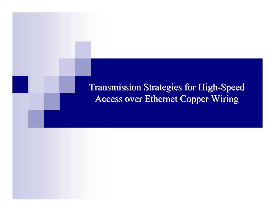**Transmission Strategies for High-Speed** Access over Ethernet Copper Wiring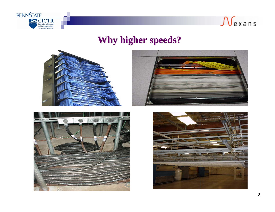



### **Why higher speeds? Why higher speeds?**







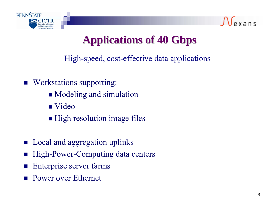



# **Applications of 40 Applications of 40 Gbps**

High-speed, cost-effective data applications

- **Norkstations supporting:** 
	- **Modeling and simulation**
	- Video
	- **High resolution image files**
- **Local and aggregation uplinks**
- M. High-Power-Computing data centers
- M. Enterprise server farms
- M. Power over Ethernet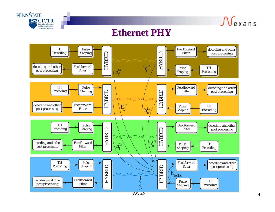

 $\sqrt{e}$  x ans

#### **Ethernet PHY Ethernet PHY**

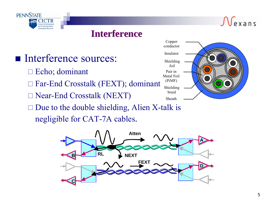

### **Interference Interference**

# Interference sources:

- Echo; dominant
- Far-End Crosstalk (FEXT); dominant
- Near-End Crosstalk (NEXT)
- $\square$  Due to the double shielding, Alien X-talk is negligible for CAT-7A cables.



 $\sqrt{e}$  x ans

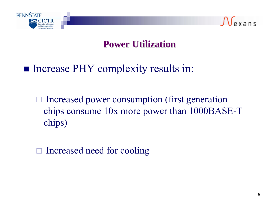



# **Power Utilization Power Utilization**

# **Increase PHY complexity results in:**

 $\Box$  Increased power consumption (first generation chips consume 10x more power than 1000BASE-T chips)

□ Increased need for cooling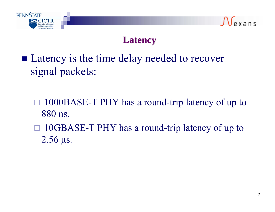



## **Latency Latency**

- Latency is the time delay needed to recover signal packets:
	- $\Box$  1000BASE-T PHY has a round-trip latency of up to 880 ns.
	- □ 10GBASE-T PHY has a round-trip latency of up to 2.56 μs.